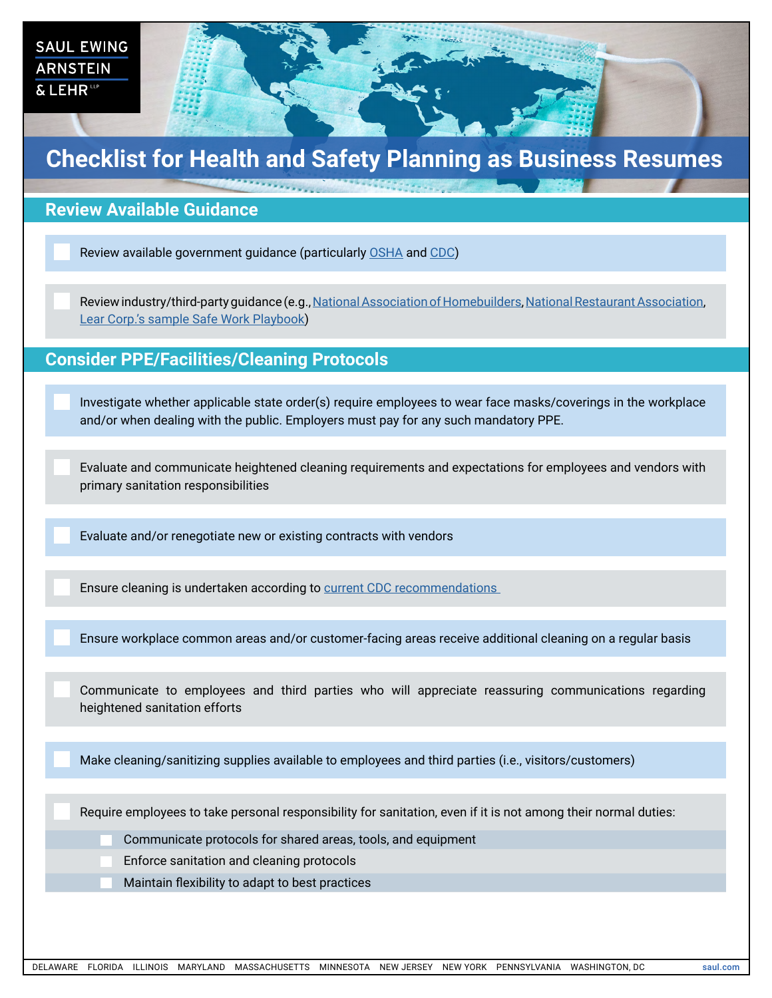| <b>SAUL EWING</b><br><b>ARNSTEIN</b><br>& LEHR <sup>ttp</sup>       |                                                                  |  |
|---------------------------------------------------------------------|------------------------------------------------------------------|--|
| <b>Checklist for Health and Safety Planning as Business Resumes</b> |                                                                  |  |
|                                                                     |                                                                  |  |
| <b>Review Available Guidance</b>                                    |                                                                  |  |
|                                                                     | Review available government guidance (particularly OSHA and CDC) |  |

Review industry/third-party guidance (e.g., [National Association of Homebuilders,](https://www.nahb.org/Advocacy/Industry-Issues/Emergency-Preparedness-and-Response/Coronavirus-Preparedness/Protect-Your-Business/Construction-Jobsite-Safety-Recommendations) [National Restaurant Association,](https://restaurant.org/Covid19#do) [Lear Corp.'s sample Safe Work Playbook\)](https://www.lear.com/Site/Company/Safe-Work-Playbook.aspx)

## **Consider PPE/Facilities/Cleaning Protocols**

Investigate whether applicable state order(s) require employees to wear face masks/coverings in the workplace and/or when dealing with the public. Employers must pay for any such mandatory PPE.

Evaluate and communicate heightened cleaning requirements and expectations for employees and vendors with primary sanitation responsibilities

Evaluate and/or renegotiate new or existing contracts with vendors

Ensure cleaning is undertaken according to [current CDC recommendations](https://www.cdc.gov/coronavirus/2019-ncov/community/organizations/cleaning-disinfection.html) 

Ensure workplace common areas and/or customer-facing areas receive additional cleaning on a regular basis

Communicate to employees and third parties who will appreciate reassuring communications regarding heightened sanitation efforts

Make cleaning/sanitizing supplies available to employees and third parties (i.e., visitors/customers)

Require employees to take personal responsibility for sanitation, even if it is not among their normal duties:

Communicate protocols for shared areas, tools, and equipment

Enforce sanitation and cleaning protocols

Maintain flexibility to adapt to best practices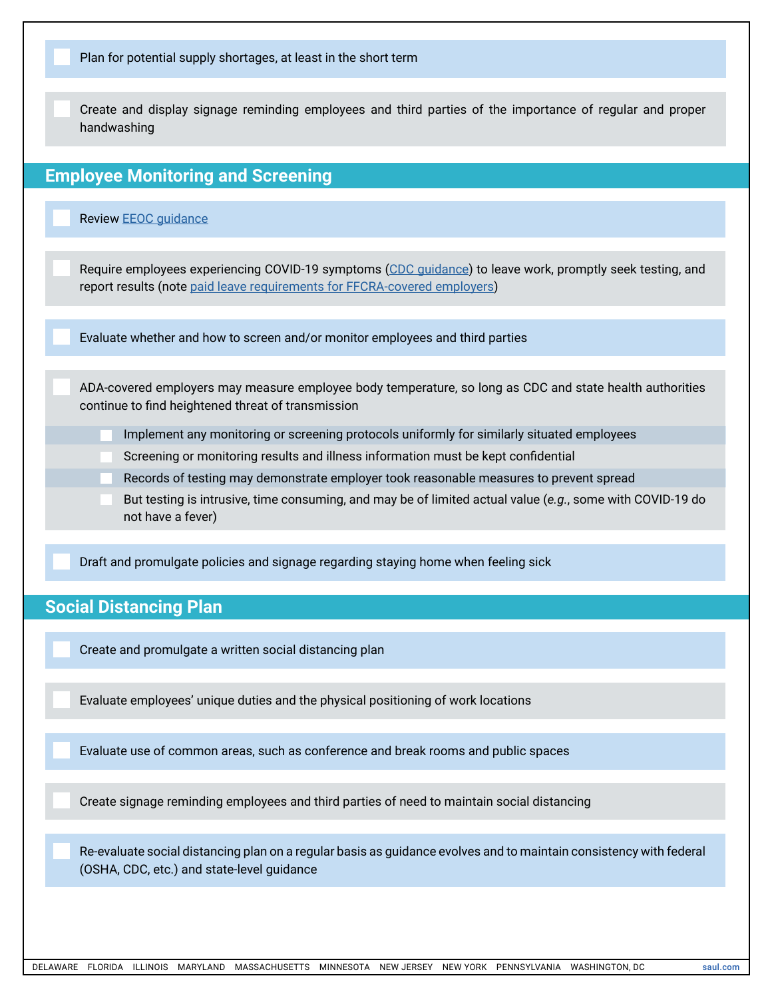| Plan for potential supply shortages, at least in the short term                                                                                                                        |  |  |
|----------------------------------------------------------------------------------------------------------------------------------------------------------------------------------------|--|--|
| Create and display signage reminding employees and third parties of the importance of regular and proper<br>handwashing                                                                |  |  |
| <b>Employee Monitoring and Screening</b>                                                                                                                                               |  |  |
| <b>Review EEOC guidance</b>                                                                                                                                                            |  |  |
| Require employees experiencing COVID-19 symptoms (CDC guidance) to leave work, promptly seek testing, and<br>report results (note paid leave requirements for FFCRA-covered employers) |  |  |
| Evaluate whether and how to screen and/or monitor employees and third parties                                                                                                          |  |  |
| ADA-covered employers may measure employee body temperature, so long as CDC and state health authorities<br>continue to find heightened threat of transmission                         |  |  |
| Implement any monitoring or screening protocols uniformly for similarly situated employees                                                                                             |  |  |
| Screening or monitoring results and illness information must be kept confidential                                                                                                      |  |  |
| Records of testing may demonstrate employer took reasonable measures to prevent spread                                                                                                 |  |  |
| But testing is intrusive, time consuming, and may be of limited actual value (e.g., some with COVID-19 do<br>not have a fever)                                                         |  |  |
| Draft and promulgate policies and signage regarding staying home when feeling sick                                                                                                     |  |  |
| <b>Social Distancing Plan</b>                                                                                                                                                          |  |  |
| Create and promulgate a written social distancing plan                                                                                                                                 |  |  |
| Evaluate employees' unique duties and the physical positioning of work locations                                                                                                       |  |  |
| Evaluate use of common areas, such as conference and break rooms and public spaces                                                                                                     |  |  |
| Create signage reminding employees and third parties of need to maintain social distancing                                                                                             |  |  |
| Re-evaluate social distancing plan on a regular basis as guidance evolves and to maintain consistency with federal<br>(OSHA, CDC, etc.) and state-level guidance                       |  |  |
|                                                                                                                                                                                        |  |  |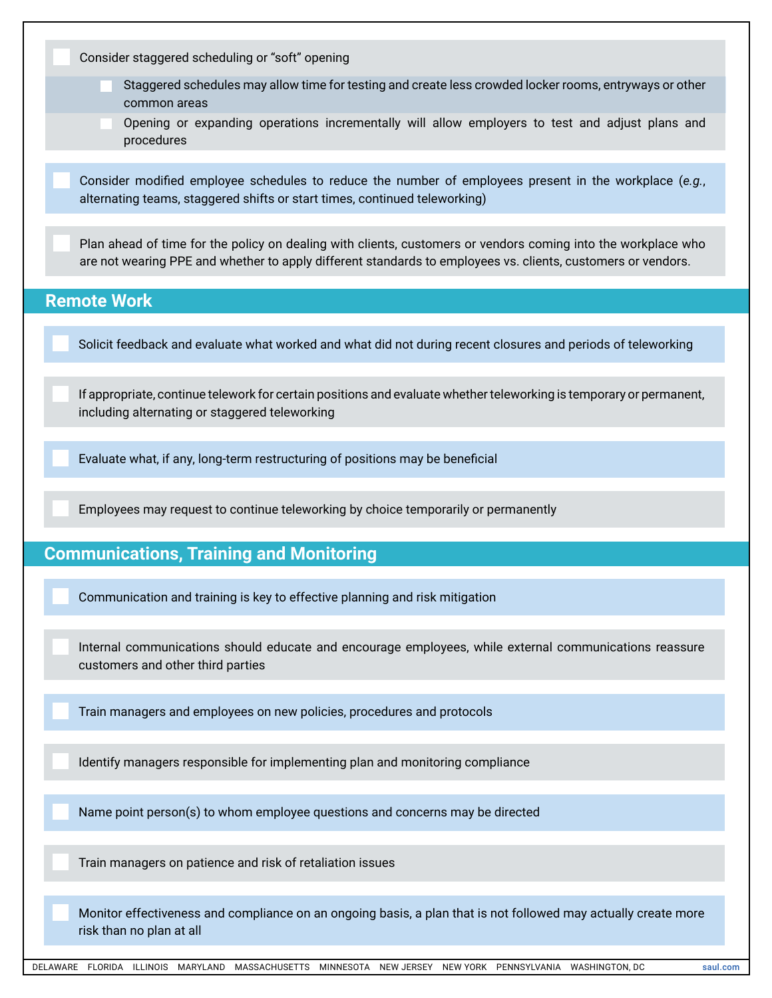| Consider staggered scheduling or "soft" opening                                                                                                                                                                               |
|-------------------------------------------------------------------------------------------------------------------------------------------------------------------------------------------------------------------------------|
| Staggered schedules may allow time for testing and create less crowded locker rooms, entryways or other<br>common areas                                                                                                       |
| Opening or expanding operations incrementally will allow employers to test and adjust plans and<br>procedures                                                                                                                 |
| Consider modified employee schedules to reduce the number of employees present in the workplace (e.g.,<br>alternating teams, staggered shifts or start times, continued teleworking)                                          |
| Plan ahead of time for the policy on dealing with clients, customers or vendors coming into the workplace who<br>are not wearing PPE and whether to apply different standards to employees vs. clients, customers or vendors. |
| <b>Remote Work</b>                                                                                                                                                                                                            |
| Solicit feedback and evaluate what worked and what did not during recent closures and periods of teleworking                                                                                                                  |
| If appropriate, continue telework for certain positions and evaluate whether teleworking is temporary or permanent,<br>including alternating or staggered teleworking                                                         |
| Evaluate what, if any, long-term restructuring of positions may be beneficial                                                                                                                                                 |
| Employees may request to continue teleworking by choice temporarily or permanently                                                                                                                                            |
| <b>Communications, Training and Monitoring</b>                                                                                                                                                                                |
| Communication and training is key to effective planning and risk mitigation                                                                                                                                                   |
| Internal communications should educate and encourage employees, while external communications reassure<br>customers and other third parties                                                                                   |
| Train managers and employees on new policies, procedures and protocols                                                                                                                                                        |
| Identify managers responsible for implementing plan and monitoring compliance                                                                                                                                                 |
| Name point person(s) to whom employee questions and concerns may be directed                                                                                                                                                  |
| Train managers on patience and risk of retaliation issues                                                                                                                                                                     |
|                                                                                                                                                                                                                               |